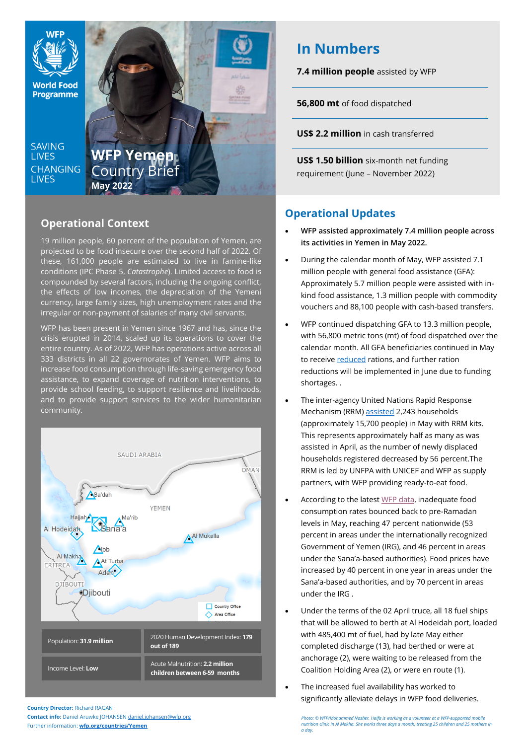

# **Operational Context**

19 million people, 60 percent of the population of Yemen, are projected to be food insecure over the second half of 2022. Of these, 161,000 people are estimated to live in famine-like conditions (IPC Phase 5, *Catastrophe*). Limited access to food is compounded by several factors, including the ongoing conflict, the effects of low incomes, the depreciation of the Yemeni currency, large family sizes, high unemployment rates and the irregular or non-payment of salaries of many civil servants.

WFP has been present in Yemen since 1967 and has, since the crisis erupted in 2014, scaled up its operations to cover the entire country. As of 2022, WFP has operations active across all 333 districts in all 22 governorates of Yemen. WFP aims to increase food consumption through life-saving emergency food assistance, to expand coverage of nutrition interventions, to provide school feeding, to support resilience and livelihoods, and to provide support services to the wider humanitarian community.



**Country Director:** Richard RAGAN

**Contact info:** Daniel Aruwke JOHANSEN [daniel.johansen@wfp.org](mailto:daniel.johansen@wfp.org) Further information: **[wfp.org/countries/Yemen](http://www.wfp.org/countries/Yemen)**

# **In Numbers**

**7.4 million people** assisted by WFP

**56,800 mt** of food dispatched

**US\$ 2.2 million** in cash transferred

**US\$ 1.50 billion** six-month net funding requirement (June – November 2022)

# **Operational Updates**

- **WFP assisted approximately 7.4 million people across its activities in Yemen in May 2022.**
- During the calendar month of May, WFP assisted 7.1 million people with general food assistance (GFA): Approximately 5.7 million people were assisted with inkind food assistance, 1.3 million people with commodity vouchers and 88,100 people with cash-based transfers.
- WFP continued dispatching GFA to 13.3 million people, with 56,800 metric tons (mt) of food dispatched over the calendar month. All GFA beneficiaries continued in May to receiv[e reduced](https://www.wfp.org/news/wfp-forced-cut-food-assistance-yemen-warns-impact-hunger-rises) rations, and further ration reductions will be implemented in June due to funding shortages. .
- The inter-agency United Nations Rapid Response Mechanism (RRM) [assisted](https://reliefweb.int/report/yemen/yemen-rapid-response-mechanism-first-line-response-rrm-monthly-report-may-2022) 2,243 households (approximately 15,700 people) in May with RRM kits. This represents approximately half as many as was assisted in April, as the number of newly displaced households registered decreased by 56 percent.The RRM is led by UNFPA with UNICEF and WFP as supply partners, with WFP providing ready-to-eat food.
- According to the latest [WFP data,](https://docs.wfp.org/api/documents/WFP-0000140386/download/) inadequate food consumption rates bounced back to pre-Ramadan levels in May, reaching 47 percent nationwide (53 percent in areas under the internationally recognized Government of Yemen (IRG), and 46 percent in areas under the Sana'a-based authorities). Food prices have increased by 40 percent in one year in areas under the Sana'a-based authorities, and by 70 percent in areas under the IRG .
- Under the terms of the 02 April truce, all 18 fuel ships that will be allowed to berth at Al Hodeidah port, loaded with 485,400 mt of fuel, had by late May either completed discharge (13), had berthed or were at anchorage (2), were waiting to be released from the Coalition Holding Area (2), or were en route (1).
- The increased fuel availability has worked to significantly alleviate delays in WFP food deliveries.

*Photo: © WFP/Mohammed Nasher. Haifa is working as a volunteer at a WFP-supported mobile nutrition clinic in Al Makha. She works three days a month, treating 25 children and 25 mothers in a day.*